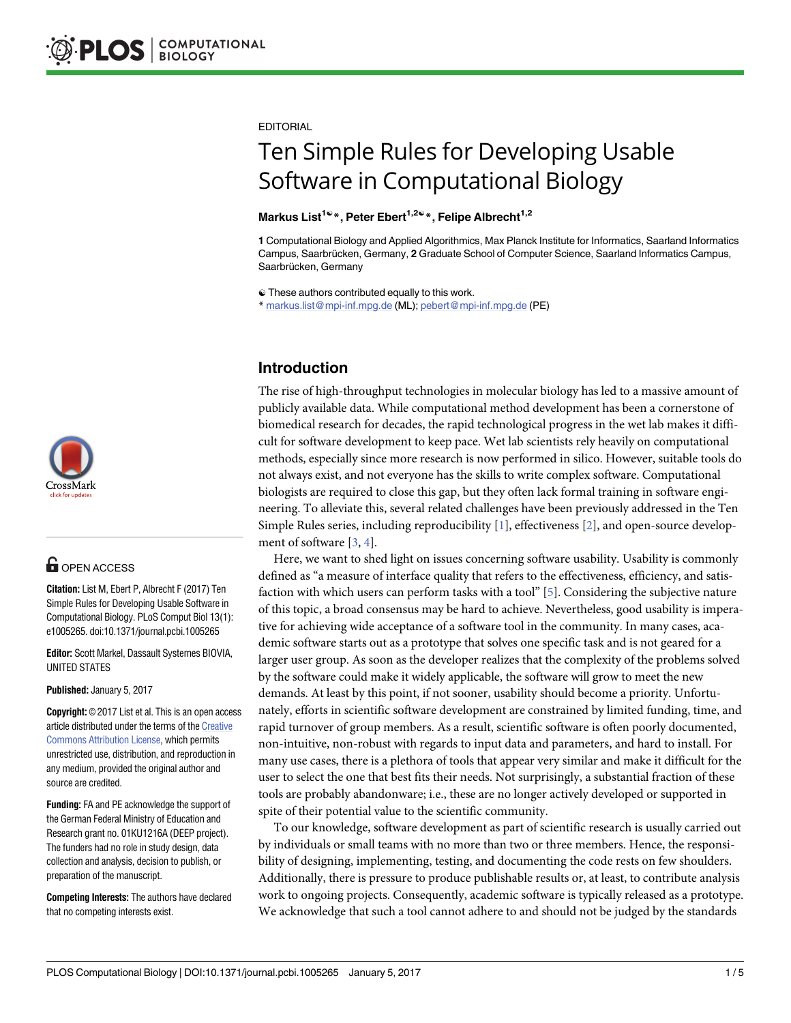<span id="page-0-0"></span>**EDITORIAL** 

# Ten Simple Rules for Developing Usable Software in Computational Biology

#### **Markus List1**☯**\*, Peter Ebert1,2**☯**\*, Felipe Albrecht1,2**

**1** Computational Biology and Applied Algorithmics, Max Planck Institute for Informatics, Saarland Informatics Campus, Saarbrücken, Germany, 2 Graduate School of Computer Science, Saarland Informatics Campus, Saarbrücken, Germany

☯ These authors contributed equally to this work.

\* markus.list@mpi-inf.mpg.de (ML); pebert@mpi-inf.mpg.de (PE)

#### **Introduction**

The rise of high-throughput technologies in molecular biology has led to a massive amount of publicly available data. While computational method development has been a cornerstone of biomedical research for decades, the rapid technological progress in the wet lab makes it difficult for software development to keep pace. Wet lab scientists rely heavily on computational methods, especially since more research is now performed in silico. However, suitable tools do not always exist, and not everyone has the skills to write complex software. Computational biologists are required to close this gap, but they often lack formal training in software engineering. To alleviate this, several related challenges have been previously addressed in the Ten Simple Rules series, including reproducibility [\[1\]](#page-3-0), effectiveness [\[2\]](#page-3-0), and open-source development of software [[3](#page-3-0), [4](#page-3-0)].

Here, we want to shed light on issues concerning software usability. Usability is commonly defined as "a measure of interface quality that refers to the effectiveness, efficiency, and satisfaction with which users can perform tasks with a tool" [[5](#page-3-0)]. Considering the subjective nature of this topic, a broad consensus may be hard to achieve. Nevertheless, good usability is imperative for achieving wide acceptance of a software tool in the community. In many cases, academic software starts out as a prototype that solves one specific task and is not geared for a larger user group. As soon as the developer realizes that the complexity of the problems solved by the software could make it widely applicable, the software will grow to meet the new demands. At least by this point, if not sooner, usability should become a priority. Unfortunately, efforts in scientific software development are constrained by limited funding, time, and rapid turnover of group members. As a result, scientific software is often poorly documented, non-intuitive, non-robust with regards to input data and parameters, and hard to install. For many use cases, there is a plethora of tools that appear very similar and make it difficult for the user to select the one that best fits their needs. Not surprisingly, a substantial fraction of these tools are probably abandonware; i.e., these are no longer actively developed or supported in spite of their potential value to the scientific community.

To our knowledge, software development as part of scientific research is usually carried out by individuals or small teams with no more than two or three members. Hence, the responsibility of designing, implementing, testing, and documenting the code rests on few shoulders. Additionally, there is pressure to produce publishable results or, at least, to contribute analysis work to ongoing projects. Consequently, academic software is typically released as a prototype. We acknowledge that such a tool cannot adhere to and should not be judged by the standards



# **G** OPEN ACCESS

**Citation:** List M, Ebert P, Albrecht F (2017) Ten Simple Rules for Developing Usable Software in Computational Biology. PLoS Comput Biol 13(1): e1005265. doi:10.1371/journal.pcbi.1005265

**Editor:** Scott Markel, Dassault Systemes BIOVIA, UNITED STATES

**Published:** January 5, 2017

**Copyright:** © 2017 List et al. This is an open access article distributed under the terms of the [Creative](http://creativecommons.org/licenses/by/4.0/) [Commons](http://creativecommons.org/licenses/by/4.0/) Attribution License, which permits unrestricted use, distribution, and reproduction in any medium, provided the original author and source are credited.

**Funding:** FA and PE acknowledge the support of the German Federal Ministry of Education and Research grant no. 01KU1216A (DEEP project). The funders had no role in study design, data collection and analysis, decision to publish, or preparation of the manuscript.

**Competing Interests:** The authors have declared that no competing interests exist.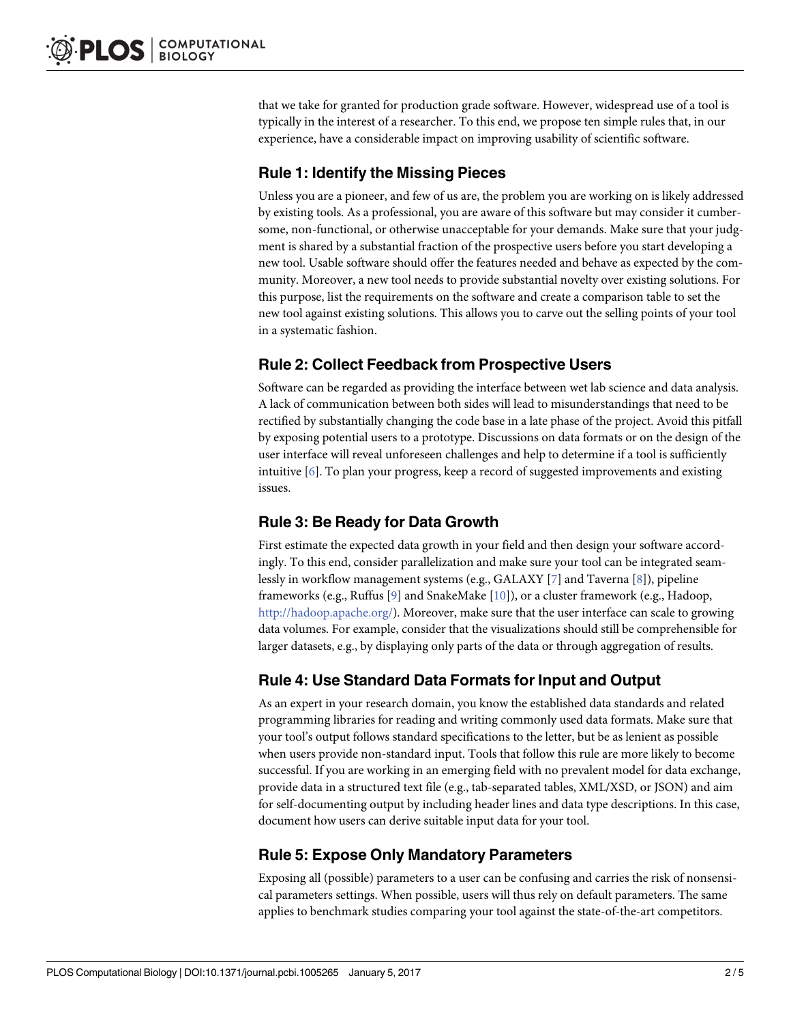<span id="page-1-0"></span>that we take for granted for production grade software. However, widespread use of a tool is typically in the interest of a researcher. To this end, we propose ten simple rules that, in our experience, have a considerable impact on improving usability of scientific software.

#### **Rule 1: Identify the Missing Pieces**

Unless you are a pioneer, and few of us are, the problem you are working on is likely addressed by existing tools. As a professional, you are aware of this software but may consider it cumbersome, non-functional, or otherwise unacceptable for your demands. Make sure that your judgment is shared by a substantial fraction of the prospective users before you start developing a new tool. Usable software should offer the features needed and behave as expected by the community. Moreover, a new tool needs to provide substantial novelty over existing solutions. For this purpose, list the requirements on the software and create a comparison table to set the new tool against existing solutions. This allows you to carve out the selling points of your tool in a systematic fashion.

#### **Rule 2: Collect Feedback from Prospective Users**

Software can be regarded as providing the interface between wet lab science and data analysis. A lack of communication between both sides will lead to misunderstandings that need to be rectified by substantially changing the code base in a late phase of the project. Avoid this pitfall by exposing potential users to a prototype. Discussions on data formats or on the design of the user interface will reveal unforeseen challenges and help to determine if a tool is sufficiently intuitive [\[6\]](#page-3-0). To plan your progress, keep a record of suggested improvements and existing issues.

#### **Rule 3: Be Ready for Data Growth**

First estimate the expected data growth in your field and then design your software accordingly. To this end, consider parallelization and make sure your tool can be integrated seamlessly in workflow management systems (e.g., GALAXY [[7\]](#page-3-0) and Taverna [[8\]](#page-3-0)), pipeline frameworks (e.g., Ruffus [[9\]](#page-3-0) and SnakeMake [\[10\]](#page-3-0)), or a cluster framework (e.g., Hadoop, <http://hadoop.apache.org/>). Moreover, make sure that the user interface can scale to growing data volumes. For example, consider that the visualizations should still be comprehensible for larger datasets, e.g., by displaying only parts of the data or through aggregation of results.

#### **Rule 4: Use Standard Data Formats for Input and Output**

As an expert in your research domain, you know the established data standards and related programming libraries for reading and writing commonly used data formats. Make sure that your tool's output follows standard specifications to the letter, but be as lenient as possible when users provide non-standard input. Tools that follow this rule are more likely to become successful. If you are working in an emerging field with no prevalent model for data exchange, provide data in a structured text file (e.g., tab-separated tables, XML/XSD, or JSON) and aim for self-documenting output by including header lines and data type descriptions. In this case, document how users can derive suitable input data for your tool.

#### **Rule 5: Expose Only Mandatory Parameters**

Exposing all (possible) parameters to a user can be confusing and carries the risk of nonsensical parameters settings. When possible, users will thus rely on default parameters. The same applies to benchmark studies comparing your tool against the state-of-the-art competitors.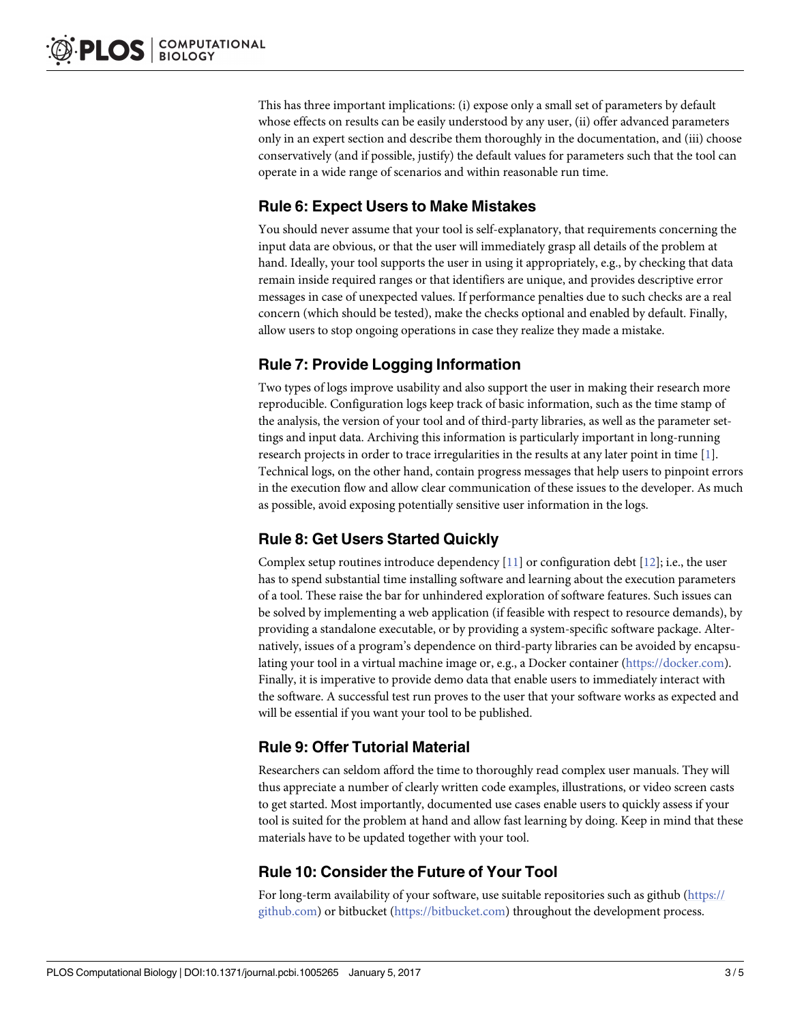<span id="page-2-0"></span>This has three important implications: (i) expose only a small set of parameters by default whose effects on results can be easily understood by any user, (ii) offer advanced parameters only in an expert section and describe them thoroughly in the documentation, and (iii) choose conservatively (and if possible, justify) the default values for parameters such that the tool can operate in a wide range of scenarios and within reasonable run time.

#### **Rule 6: Expect Users to Make Mistakes**

You should never assume that your tool is self-explanatory, that requirements concerning the input data are obvious, or that the user will immediately grasp all details of the problem at hand. Ideally, your tool supports the user in using it appropriately, e.g., by checking that data remain inside required ranges or that identifiers are unique, and provides descriptive error messages in case of unexpected values. If performance penalties due to such checks are a real concern (which should be tested), make the checks optional and enabled by default. Finally, allow users to stop ongoing operations in case they realize they made a mistake.

# **Rule 7: Provide Logging Information**

Two types of logs improve usability and also support the user in making their research more reproducible. Configuration logs keep track of basic information, such as the time stamp of the analysis, the version of your tool and of third-party libraries, as well as the parameter settings and input data. Archiving this information is particularly important in long-running research projects in order to trace irregularities in the results at any later point in time [[1\]](#page-3-0). Technical logs, on the other hand, contain progress messages that help users to pinpoint errors in the execution flow and allow clear communication of these issues to the developer. As much as possible, avoid exposing potentially sensitive user information in the logs.

# **Rule 8: Get Users Started Quickly**

Complex setup routines introduce dependency  $[11]$  or configuration debt  $[12]$ ; i.e., the user has to spend substantial time installing software and learning about the execution parameters of a tool. These raise the bar for unhindered exploration of software features. Such issues can be solved by implementing a web application (if feasible with respect to resource demands), by providing a standalone executable, or by providing a system-specific software package. Alternatively, issues of a program's dependence on third-party libraries can be avoided by encapsulating your tool in a virtual machine image or, e.g., a Docker container ([https://docker.com\)](https://docker.com). Finally, it is imperative to provide demo data that enable users to immediately interact with the software. A successful test run proves to the user that your software works as expected and will be essential if you want your tool to be published.

# **Rule 9: Offer Tutorial Material**

Researchers can seldom afford the time to thoroughly read complex user manuals. They will thus appreciate a number of clearly written code examples, illustrations, or video screen casts to get started. Most importantly, documented use cases enable users to quickly assess if your tool is suited for the problem at hand and allow fast learning by doing. Keep in mind that these materials have to be updated together with your tool.

# **Rule 10: Consider the Future of Your Tool**

For long-term availability of your software, use suitable repositories such as github ([https://](https://github.com) [github.com\)](https://github.com) or bitbucket [\(https://bitbucket.com](https://bitbucket.com)) throughout the development process.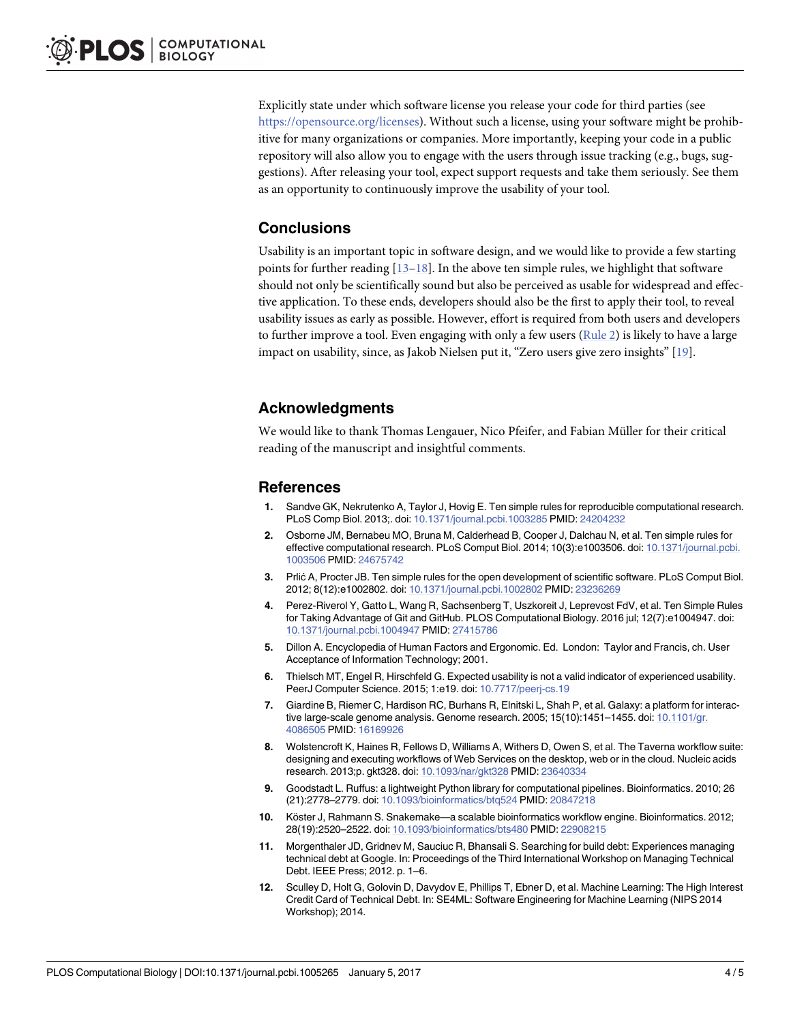<span id="page-3-0"></span>Explicitly state under which software license you release your code for third parties (see [https://opensource.org/licenses\)](https://opensource.org/licenses). Without such a license, using your software might be prohibitive for many organizations or companies. More importantly, keeping your code in a public repository will also allow you to engage with the users through issue tracking (e.g., bugs, suggestions). After releasing your tool, expect support requests and take them seriously. See them as an opportunity to continuously improve the usability of your tool.

#### **Conclusions**

Usability is an important topic in software design, and we would like to provide a few starting points for further reading  $[13-18]$ . In the above ten simple rules, we highlight that software should not only be scientifically sound but also be perceived as usable for widespread and effective application. To these ends, developers should also be the first to apply their tool, to reveal usability issues as early as possible. However, effort is required from both users and developers to further improve a tool. Even engaging with only a few users [\(Rule](#page-1-0) 2) is likely to have a large impact on usability, since, as Jakob Nielsen put it, "Zero users give zero insights" [[19](#page-4-0)].

### **Acknowledgments**

We would like to thank Thomas Lengauer, Nico Pfeifer, and Fabian Müller for their critical reading of the manuscript and insightful comments.

#### **References**

- **[1](#page-0-0).** Sandve GK, Nekrutenko A, Taylor J, Hovig E. Ten simple rules for reproducible computational research. PLoS Comp Biol. 2013;. doi: [10.1371/journal.pcbi.1003285](http://dx.doi.org/10.1371/journal.pcbi.1003285) PMID: [24204232](http://www.ncbi.nlm.nih.gov/pubmed/24204232)
- **[2](#page-0-0).** Osborne JM, Bernabeu MO, Bruna M, Calderhead B, Cooper J, Dalchau N, et al. Ten simple rules for effective computational research. PLoS Comput Biol. 2014; 10(3):e1003506. doi: [10.1371/journal.pcbi.](http://dx.doi.org/10.1371/journal.pcbi.1003506) [1003506](http://dx.doi.org/10.1371/journal.pcbi.1003506) PMID: [24675742](http://www.ncbi.nlm.nih.gov/pubmed/24675742)
- **[3](#page-0-0).** Prlić A, Procter JB. Ten simple rules for the open development of scientific software. PLoS Comput Biol. 2012; 8(12):e1002802. doi: [10.1371/journal.pcbi.1002802](http://dx.doi.org/10.1371/journal.pcbi.1002802) PMID: [23236269](http://www.ncbi.nlm.nih.gov/pubmed/23236269)
- **[4](#page-0-0).** Perez-Riverol Y, Gatto L, Wang R, Sachsenberg T, Uszkoreit J, Leprevost FdV, et al. Ten Simple Rules for Taking Advantage of Git and GitHub. PLOS Computational Biology. 2016 jul; 12(7):e1004947. doi: [10.1371/journal.pcbi.1004947](http://dx.doi.org/10.1371/journal.pcbi.1004947) PMID: [27415786](http://www.ncbi.nlm.nih.gov/pubmed/27415786)
- **[5](#page-0-0).** Dillon A. Encyclopedia of Human Factors and Ergonomic. Ed. London: Taylor and Francis, ch. User Acceptance of Information Technology; 2001.
- **[6](#page-1-0).** Thielsch MT, Engel R, Hirschfeld G. Expected usability is not a valid indicator of experienced usability. PeerJ Computer Science. 2015; 1:e19. doi: [10.7717/peerj-cs.19](http://dx.doi.org/10.7717/peerj-cs.19)
- **[7](#page-1-0).** Giardine B, Riemer C, Hardison RC, Burhans R, Elnitski L, Shah P, et al. Galaxy: a platform for interactive large-scale genome analysis. Genome research. 2005; 15(10):1451–1455. doi: [10.1101/gr.](http://dx.doi.org/10.1101/gr.4086505) [4086505](http://dx.doi.org/10.1101/gr.4086505) PMID: [16169926](http://www.ncbi.nlm.nih.gov/pubmed/16169926)
- **[8](#page-1-0).** Wolstencroft K, Haines R, Fellows D, Williams A, Withers D, Owen S, et al. The Taverna workflow suite: designing and executing workflows of Web Services on the desktop, web or in the cloud. Nucleic acids research. 2013;p. gkt328. doi: [10.1093/nar/gkt328](http://dx.doi.org/10.1093/nar/gkt328) PMID: [23640334](http://www.ncbi.nlm.nih.gov/pubmed/23640334)
- **[9](#page-1-0).** Goodstadt L. Ruffus: a lightweight Python library for computational pipelines. Bioinformatics. 2010; 26 (21):2778–2779. doi: [10.1093/bioinformatics/btq524](http://dx.doi.org/10.1093/bioinformatics/btq524) PMID: [20847218](http://www.ncbi.nlm.nih.gov/pubmed/20847218)
- **[10](#page-1-0).** Köster J, Rahmann S. Snakemake—a scalable bioinformatics workflow engine. Bioinformatics. 2012; 28(19):2520–2522. doi: [10.1093/bioinformatics/bts480](http://dx.doi.org/10.1093/bioinformatics/bts480) PMID: [22908215](http://www.ncbi.nlm.nih.gov/pubmed/22908215)
- **[11](#page-2-0).** Morgenthaler JD, Gridnev M, Sauciuc R, Bhansali S. Searching for build debt: Experiences managing technical debt at Google. In: Proceedings of the Third International Workshop on Managing Technical Debt. IEEE Press; 2012. p. 1–6.
- **[12](#page-2-0).** Sculley D, Holt G, Golovin D, Davydov E, Phillips T, Ebner D, et al. Machine Learning: The High Interest Credit Card of Technical Debt. In: SE4ML: Software Engineering for Machine Learning (NIPS 2014 Workshop); 2014.